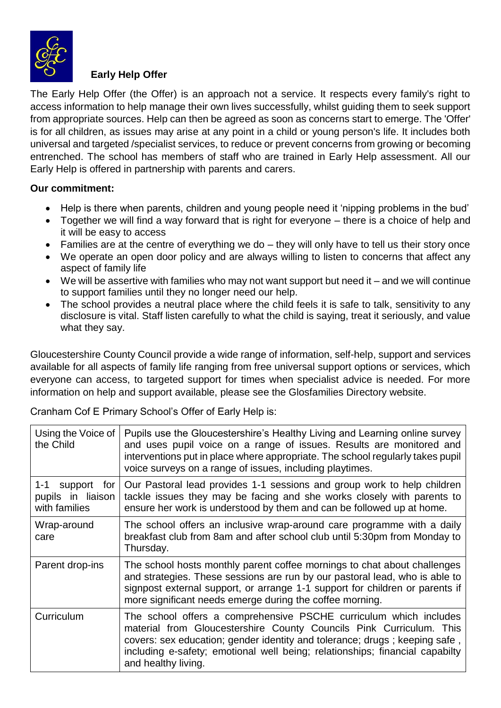

## **Early Help Offer**

The Early Help Offer (the Offer) is an approach not a service. It respects every family's right to access information to help manage their own lives successfully, whilst guiding them to seek support from appropriate sources. Help can then be agreed as soon as concerns start to emerge. The 'Offer' is for all children, as issues may arise at any point in a child or young person's life. It includes both universal and targeted /specialist services, to reduce or prevent concerns from growing or becoming entrenched. The school has members of staff who are trained in Early Help assessment. All our Early Help is offered in partnership with parents and carers.

## **Our commitment:**

- Help is there when parents, children and young people need it 'nipping problems in the bud'
- Together we will find a way forward that is right for everyone there is a choice of help and it will be easy to access
- Families are at the centre of everything we do they will only have to tell us their story once
- We operate an open door policy and are always willing to listen to concerns that affect any aspect of family life
- $\bullet$  We will be assertive with families who may not want support but need it and we will continue to support families until they no longer need our help.
- The school provides a neutral place where the child feels it is safe to talk, sensitivity to any disclosure is vital. Staff listen carefully to what the child is saying, treat it seriously, and value what they say.

Gloucestershire County Council provide a wide range of information, self-help, support and services available for all aspects of family life ranging from free universal support options or services, which everyone can access, to targeted support for times when specialist advice is needed. For more information on help and support available, please see the Glosfamilies Directory website.

Cranham Cof E Primary School's Offer of Early Help is:

| Using the Voice of<br>the Child                              | Pupils use the Gloucestershire's Healthy Living and Learning online survey<br>and uses pupil voice on a range of issues. Results are monitored and<br>interventions put in place where appropriate. The school regularly takes pupil<br>voice surveys on a range of issues, including playtimes.                              |
|--------------------------------------------------------------|-------------------------------------------------------------------------------------------------------------------------------------------------------------------------------------------------------------------------------------------------------------------------------------------------------------------------------|
| $1 - 1$<br>support for<br>pupils in liaison<br>with families | Our Pastoral lead provides 1-1 sessions and group work to help children<br>tackle issues they may be facing and she works closely with parents to<br>ensure her work is understood by them and can be followed up at home.                                                                                                    |
| Wrap-around<br>care                                          | The school offers an inclusive wrap-around care programme with a daily<br>breakfast club from 8am and after school club until 5:30pm from Monday to<br>Thursday.                                                                                                                                                              |
| Parent drop-ins                                              | The school hosts monthly parent coffee mornings to chat about challenges<br>and strategies. These sessions are run by our pastoral lead, who is able to<br>signpost external support, or arrange 1-1 support for children or parents if<br>more significant needs emerge during the coffee morning.                           |
| Curriculum                                                   | The school offers a comprehensive PSCHE curriculum which includes<br>material from Gloucestershire County Councils Pink Curriculum. This<br>covers: sex education; gender identity and tolerance; drugs; keeping safe,<br>including e-safety; emotional well being; relationships; financial capabilty<br>and healthy living. |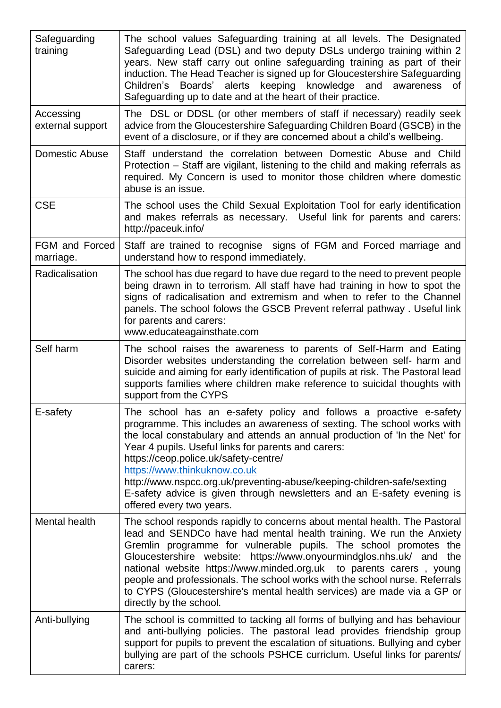| Safeguarding<br>training      | The school values Safeguarding training at all levels. The Designated<br>Safeguarding Lead (DSL) and two deputy DSLs undergo training within 2<br>years. New staff carry out online safeguarding training as part of their<br>induction. The Head Teacher is signed up for Gloucestershire Safeguarding<br>Children's Boards' alerts keeping knowledge and<br>awareness<br>of<br>Safeguarding up to date and at the heart of their practice.                                                                                                            |
|-------------------------------|---------------------------------------------------------------------------------------------------------------------------------------------------------------------------------------------------------------------------------------------------------------------------------------------------------------------------------------------------------------------------------------------------------------------------------------------------------------------------------------------------------------------------------------------------------|
| Accessing<br>external support | The DSL or DDSL (or other members of staff if necessary) readily seek<br>advice from the Gloucestershire Safeguarding Children Board (GSCB) in the<br>event of a disclosure, or if they are concerned about a child's wellbeing.                                                                                                                                                                                                                                                                                                                        |
| Domestic Abuse                | Staff understand the correlation between Domestic Abuse and Child<br>Protection - Staff are vigilant, listening to the child and making referrals as<br>required. My Concern is used to monitor those children where domestic<br>abuse is an issue.                                                                                                                                                                                                                                                                                                     |
| <b>CSE</b>                    | The school uses the Child Sexual Exploitation Tool for early identification<br>and makes referrals as necessary. Useful link for parents and carers:<br>http://paceuk.info/                                                                                                                                                                                                                                                                                                                                                                             |
| FGM and Forced<br>marriage.   | Staff are trained to recognise signs of FGM and Forced marriage and<br>understand how to respond immediately.                                                                                                                                                                                                                                                                                                                                                                                                                                           |
| Radicalisation                | The school has due regard to have due regard to the need to prevent people<br>being drawn in to terrorism. All staff have had training in how to spot the<br>signs of radicalisation and extremism and when to refer to the Channel<br>panels. The school folows the GSCB Prevent referral pathway. Useful link<br>for parents and carers:<br>www.educateagainsthate.com                                                                                                                                                                                |
| Self harm                     | The school raises the awareness to parents of Self-Harm and Eating<br>Disorder websites understanding the correlation between self- harm and<br>suicide and aiming for early identification of pupils at risk. The Pastoral lead<br>supports families where children make reference to suicidal thoughts with<br>support from the CYPS                                                                                                                                                                                                                  |
| E-safety                      | The school has an e-safety policy and follows a proactive e-safety<br>programme. This includes an awareness of sexting. The school works with<br>the local constabulary and attends an annual production of 'In the Net' for<br>Year 4 pupils. Useful links for parents and carers:<br>https://ceop.police.uk/safety-centre/<br>https://www.thinkuknow.co.uk<br>http://www.nspcc.org.uk/preventing-abuse/keeping-children-safe/sexting<br>E-safety advice is given through newsletters and an E-safety evening is<br>offered every two years.           |
| Mental health                 | The school responds rapidly to concerns about mental health. The Pastoral<br>lead and SENDCo have had mental health training. We run the Anxiety<br>Gremlin programme for vulnerable pupils. The school promotes the<br>Gloucestershire website: https://www.onyourmindglos.nhs.uk/ and the<br>national website https://www.minded.org.uk to parents carers, young<br>people and professionals. The school works with the school nurse. Referrals<br>to CYPS (Gloucestershire's mental health services) are made via a GP or<br>directly by the school. |
| Anti-bullying                 | The school is committed to tacking all forms of bullying and has behaviour<br>and anti-bullying policies. The pastoral lead provides friendship group<br>support for pupils to prevent the escalation of situations. Bullying and cyber<br>bullying are part of the schools PSHCE curriclum. Useful links for parents/<br>carers:                                                                                                                                                                                                                       |